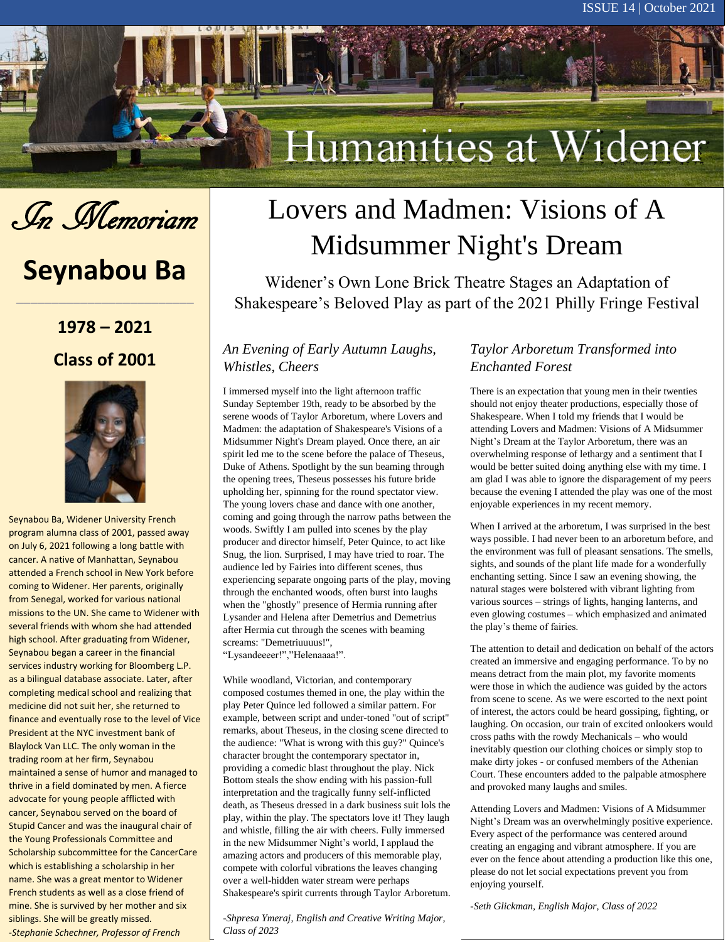# Humanities at Widener



i.

# **Seynabou Ba**

**\_\_\_\_\_\_\_\_\_\_\_\_\_\_\_\_\_\_\_\_\_\_\_\_\_**

## **1978 – 2021 Class of 2001**



Seynabou Ba, Widener University French program alumna class of 2001, passed away on July 6, 2021 following a long battle with cancer. A native of Manhattan, Seynabou attended a French school in New York before coming to Widener. Her parents, originally from Senegal, worked for various national missions to the UN. She came to Widener with several friends with whom she had attended high school. After graduating from Widener, Seynabou began a career in the financial services industry working for Bloomberg L.P. as a bilingual database associate. Later, after completing medical school and realizing that medicine did not suit her, she returned to finance and eventually rose to the level of Vice President at the NYC investment bank of Blaylock Van LLC. The only woman in the trading room at her firm, Seynabou maintained a sense of humor and managed to thrive in a field dominated by men. A fierce advocate for young people afflicted with cancer, Seynabou served on the board of Stupid Cancer and was the inaugural chair of the Young Professionals Committee and Scholarship subcommittee for the CancerCare which is establishing a scholarship in her name. She was a great mentor to Widener French students as well as a close friend of mine. She is survived by her mother and six siblings. She will be greatly missed. *-Stephanie Schechner, Professor of French*

# Lovers and Madmen: Visions of A Midsummer Night's Dream

Widener's Own Lone Brick Theatre Stages an Adaptation of Shakespeare's Beloved Play as part of the 2021 Philly Fringe Festival

#### *An Evening of Early Autumn Laughs, Whistles, Cheers*

I immersed myself into the light afternoon traffic Sunday September 19th, ready to be absorbed by the serene woods of Taylor Arboretum, where Lovers and Madmen: the adaptation of Shakespeare's Visions of a Midsummer Night's Dream played. Once there, an air spirit led me to the scene before the palace of Theseus, Duke of Athens. Spotlight by the sun beaming through the opening trees, Theseus possesses his future bride upholding her, spinning for the round spectator view. The young lovers chase and dance with one another, coming and going through the narrow paths between the woods. Swiftly I am pulled into scenes by the play producer and director himself, Peter Quince, to act like Snug, the lion. Surprised, I may have tried to roar. The audience led by Fairies into different scenes, thus experiencing separate ongoing parts of the play, moving through the enchanted woods, often burst into laughs when the "ghostly" presence of Hermia running after Lysander and Helena after Demetrius and Demetrius after Hermia cut through the scenes with beaming screams: "Demetriuuuus!",

"Lysandeeeer!","Helenaaaa!".

While woodland, Victorian, and contemporary composed costumes themed in one, the play within the play Peter Quince led followed a similar pattern. For example, between script and under-toned "out of script" remarks, about Theseus, in the closing scene directed to the audience: "What is wrong with this guy?" Quince's character brought the contemporary spectator in, providing a comedic blast throughout the play. Nick Bottom steals the show ending with his passion-full interpretation and the tragically funny self-inflicted death, as Theseus dressed in a dark business suit lols the play, within the play. The spectators love it! They laugh and whistle, filling the air with cheers. Fully immersed in the new Midsummer Night's world, I applaud the amazing actors and producers of this memorable play, compete with colorful vibrations the leaves changing over a well-hidden water stream were perhaps Shakespeare's spirit currents through Taylor Arboretum.

-*Shpresa Ymeraj, English and Creative Writing Major, Class of 2023*

#### *Taylor Arboretum Transformed into Enchanted Forest*

There is an expectation that young men in their twenties should not enjoy theater productions, especially those of Shakespeare. When I told my friends that I would be attending Lovers and Madmen: Visions of A Midsummer Night's Dream at the Taylor Arboretum, there was an overwhelming response of lethargy and a sentiment that I would be better suited doing anything else with my time. I am glad I was able to ignore the disparagement of my peers because the evening I attended the play was one of the most enjoyable experiences in my recent memory.

When I arrived at the arboretum, I was surprised in the best ways possible. I had never been to an arboretum before, and the environment was full of pleasant sensations. The smells, sights, and sounds of the plant life made for a wonderfully enchanting setting. Since I saw an evening showing, the natural stages were bolstered with vibrant lighting from various sources – strings of lights, hanging lanterns, and even glowing costumes – which emphasized and animated the play's theme of fairies.

The attention to detail and dedication on behalf of the actors created an immersive and engaging performance. To by no means detract from the main plot, my favorite moments were those in which the audience was guided by the actors from scene to scene. As we were escorted to the next point of interest, the actors could be heard gossiping, fighting, or laughing. On occasion, our train of excited onlookers would cross paths with the rowdy Mechanicals – who would inevitably question our clothing choices or simply stop to make dirty jokes - or confused members of the Athenian Court. These encounters added to the palpable atmosphere and provoked many laughs and smiles.

Attending Lovers and Madmen: Visions of A Midsummer Night's Dream was an overwhelmingly positive experience. Every aspect of the performance was centered around creating an engaging and vibrant atmosphere. If you are ever on the fence about attending a production like this one, please do not let social expectations prevent you from enjoying yourself.

-*Seth Glickman, English Major, Class of 2022*